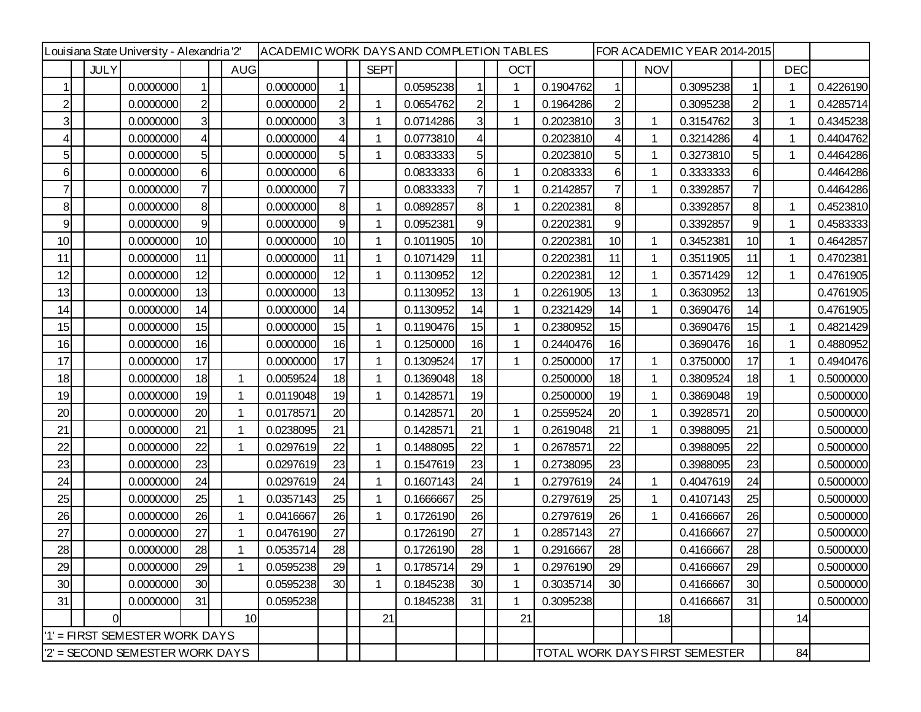| Louisiana State University - Alexandria '2' |             | ACADEMIC WORK DAYSAND COMPLETION TABLES<br>FOR ACADEMIC YEAR 2014-2015 |                |            |           |  |                |              |           |                |  |                                |           |                |             |           |                |    |            |           |
|---------------------------------------------|-------------|------------------------------------------------------------------------|----------------|------------|-----------|--|----------------|--------------|-----------|----------------|--|--------------------------------|-----------|----------------|-------------|-----------|----------------|----|------------|-----------|
|                                             | <b>JULY</b> |                                                                        |                | <b>AUG</b> |           |  |                | <b>SEPT</b>  |           |                |  | <b>OCT</b>                     |           |                | <b>NOV</b>  |           |                |    | <b>DEC</b> |           |
|                                             |             | 0.0000000                                                              |                |            | 0.0000000 |  | 1              |              | 0.0595238 |                |  |                                | 0.1904762 | 1              |             | 0.3095238 |                |    |            | 0.4226190 |
| $\overline{c}$                              |             | 0.0000000                                                              | $\overline{2}$ |            | 0.0000000 |  | $\overline{2}$ | $\mathbf{1}$ | 0.0654762 | $\overline{c}$ |  |                                | 0.1964286 | $\mathbf{2}$   |             | 0.3095238 | $\overline{2}$ | -1 |            | 0.4285714 |
| $\overline{3}$                              |             | 0.0000000                                                              | 3              |            | 0.0000000 |  | $\overline{3}$ | $\mathbf 1$  | 0.0714286 | 3              |  |                                | 0.2023810 | 31             | 1           | 0.3154762 | $\overline{3}$ |    |            | 0.4345238 |
| 4                                           |             | 0.0000000                                                              | 4              |            | 0.0000000 |  | 4              | 1            | 0.0773810 | 4              |  |                                | 0.2023810 | 41             |             | 0.3214286 | $\overline{4}$ |    |            | 0.4404762 |
| 5                                           |             | 0.0000000                                                              | 5              |            | 0.0000000 |  | 5              | 1            | 0.0833333 | 5              |  |                                | 0.2023810 | 5              | 1           | 0.3273810 | 5 <sub>l</sub> |    |            | 0.4464286 |
| 6                                           |             | 0.0000000                                                              | 6              |            | 0.0000000 |  | 6              |              | 0.0833333 | 6              |  |                                | 0.2083333 | 6              | 1           | 0.3333333 | 6              |    |            | 0.4464286 |
|                                             |             | 0.0000000                                                              | 7              |            | 0.0000000 |  | 7              |              | 0.0833333 | 7              |  |                                | 0.2142857 | $\mathbf{7}$   | 1           | 0.3392857 | $\overline{7}$ |    |            | 0.4464286 |
| 8                                           |             | 0.0000000                                                              | 8              |            | 0.0000000 |  | 8              | 1            | 0.0892857 | 8              |  |                                | 0.2202381 | 8 <sub>l</sub> |             | 0.3392857 | 8              | -1 |            | 0.4523810 |
| 9                                           |             | 0.0000000                                                              | 9              |            | 0.0000000 |  | 9              |              | 0.0952381 | 9              |  |                                | 0.2202381 | 9              |             | 0.3392857 | 9              |    |            | 0.4583333 |
| 10                                          |             | 0.0000000                                                              | 10             |            | 0.0000000 |  | 10             | 1            | 0.1011905 | 10             |  |                                | 0.2202381 | 10             | 1           | 0.3452381 | 10             | 1  |            | 0.4642857 |
| 11                                          |             | 0.0000000                                                              | 11             |            | 0.0000000 |  | 11             | 1            | 0.1071429 | 11             |  |                                | 0.2202381 | 11             | 1           | 0.3511905 | 11             |    |            | 0.4702381 |
| 12                                          |             | 0.0000000                                                              | 12             |            | 0.0000000 |  | 12             | 1            | 0.1130952 | 12             |  |                                | 0.2202381 | 12             | 1           | 0.3571429 | 12             | 1  |            | 0.4761905 |
| 13                                          |             | 0.0000000                                                              | 13             |            | 0.0000000 |  | 13             |              | 0.1130952 | 13             |  |                                | 0.2261905 | 13             | 1           | 0.3630952 | 13             |    |            | 0.4761905 |
| 14                                          |             | 0.0000000                                                              | 14             |            | 0.0000000 |  | 14             |              | 0.1130952 | 14             |  |                                | 0.2321429 | 14             | $\mathbf 1$ | 0.3690476 | 14             |    |            | 0.4761905 |
| 15                                          |             | 0.0000000                                                              | 15             |            | 0.0000000 |  | 15             | $\mathbf 1$  | 0.1190476 | 15             |  |                                | 0.2380952 | 15             |             | 0.3690476 | 15             | 1  |            | 0.4821429 |
| 16                                          |             | 0.0000000                                                              | 16             |            | 0.0000000 |  | 16             |              | 0.1250000 | 16             |  |                                | 0.2440476 | 16             |             | 0.3690476 | 16             |    |            | 0.4880952 |
| 17                                          |             | 0.0000000                                                              | 17             |            | 0.0000000 |  | 17             | 1            | 0.1309524 | 17             |  |                                | 0.2500000 | 17             | 1           | 0.3750000 | 17             | 1  |            | 0.4940476 |
| 18                                          |             | 0.0000000                                                              | 18             |            | 0.0059524 |  | 18             |              | 0.1369048 | 18             |  |                                | 0.2500000 | 18             | 1           | 0.3809524 | 18             |    |            | 0.5000000 |
| 19                                          |             | 0.0000000                                                              | 19             |            | 0.0119048 |  | 19             | 1            | 0.1428571 | 19             |  |                                | 0.2500000 | 19             | 1           | 0.3869048 | 19             |    |            | 0.5000000 |
| 20                                          |             | 0.0000000                                                              | 20             |            | 0.0178571 |  | 20             |              | 0.1428571 | 20             |  |                                | 0.2559524 | 20             | 1           | 0.3928571 | 20             |    |            | 0.5000000 |
| 21                                          |             | 0.0000000                                                              | 21             |            | 0.0238095 |  | 21             |              | 0.1428571 | 21             |  |                                | 0.2619048 | 21             | 1           | 0.3988095 | 21             |    |            | 0.5000000 |
| 22                                          |             | 0.0000000                                                              | 22             |            | 0.0297619 |  | 22             |              | 0.1488095 | 22             |  |                                | 0.2678571 | 22             |             | 0.3988095 | 22             |    |            | 0.5000000 |
| 23                                          |             | 0.0000000                                                              | 23             |            | 0.0297619 |  | 23             | 1            | 0.1547619 | 23             |  | 1                              | 0.2738095 | 23             |             | 0.3988095 | 23             |    |            | 0.5000000 |
| 24                                          |             | 0.0000000                                                              | 24             |            | 0.0297619 |  | 24             | 1            | 0.1607143 | 24             |  |                                | 0.2797619 | 24             | 1           | 0.4047619 | 24             |    |            | 0.5000000 |
| 25                                          |             | 0.0000000                                                              | 25             | -1         | 0.0357143 |  | 25             |              | 0.1666667 | 25             |  |                                | 0.2797619 | 25             | 1           | 0.4107143 | 25             |    |            | 0.5000000 |
| 26                                          |             | 0.0000000                                                              | 26             |            | 0.0416667 |  | 26             | 1            | 0.1726190 | 26             |  |                                | 0.2797619 | 26             | 1           | 0.4166667 | 26             |    |            | 0.5000000 |
| 27                                          |             | 0.0000000                                                              | 27             |            | 0.0476190 |  | 27             |              | 0.1726190 | 27             |  |                                | 0.2857143 | 27             |             | 0.4166667 | 27             |    |            | 0.5000000 |
| 28                                          |             | 0.0000000                                                              | 28             |            | 0.0535714 |  | 28             |              | 0.1726190 | 28             |  |                                | 0.2916667 | 28             |             | 0.4166667 | 28             |    |            | 0.5000000 |
| 29                                          |             | 0.0000000                                                              | 29             |            | 0.0595238 |  | 29             |              | 0.1785714 | 29             |  |                                | 0.2976190 | 29             |             | 0.4166667 | 29             |    |            | 0.5000000 |
| 30                                          |             | 0.0000000                                                              | 30             |            | 0.0595238 |  | 30             | 1            | 0.1845238 | 30             |  |                                | 0.3035714 | 30             |             | 0.4166667 | 30             |    |            | 0.5000000 |
| 31                                          |             | 0.0000000                                                              | 31             |            | 0.0595238 |  |                |              | 0.1845238 | 31             |  |                                | 0.3095238 |                |             | 0.4166667 | 31             |    |            | 0.5000000 |
|                                             | $\Omega$    |                                                                        |                |            | 10        |  |                | 21           |           |                |  | 21                             |           |                | 18          |           |                |    | 14         |           |
| '1' = FIRST SEMESTER WORK DAYS              |             |                                                                        |                |            |           |  |                |              |           |                |  |                                |           |                |             |           |                |    |            |           |
| 2' = SECOND SEMESTER WORK DAYS              |             |                                                                        |                |            |           |  |                |              |           |                |  | TOTAL WORK DAYS FIRST SEMESTER |           |                | 84          |           |                |    |            |           |